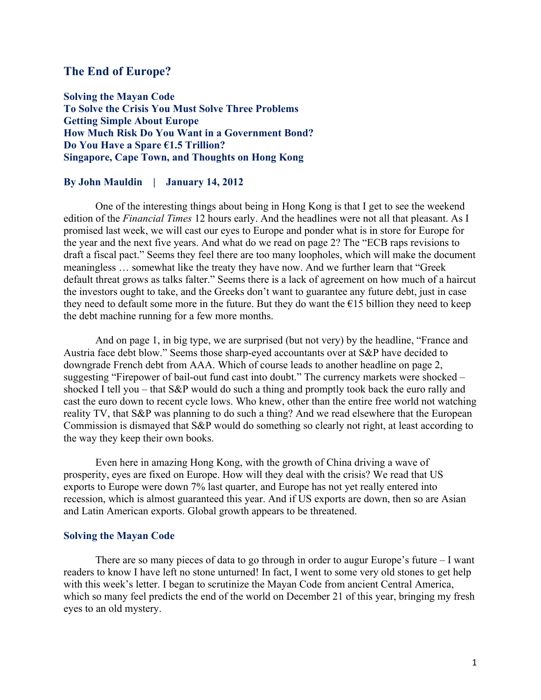## **The End of Europe?**

**Solving the Mayan Code To Solve the Crisis You Must Solve Three Problems Getting Simple About Europe How Much Risk Do You Want in a Government Bond? Do You Have a Spare €1.5 Trillion? Singapore, Cape Town, and Thoughts on Hong Kong**

### **By John Mauldin | January 14, 2012**

One of the interesting things about being in Hong Kong is that I get to see the weekend edition of the *Financial Times* 12 hours early. And the headlines were not all that pleasant. As I promised last week, we will cast our eyes to Europe and ponder what is in store for Europe for the year and the next five years. And what do we read on page 2? The "ECB raps revisions to draft a fiscal pact." Seems they feel there are too many loopholes, which will make the document meaningless … somewhat like the treaty they have now. And we further learn that "Greek default threat grows as talks falter." Seems there is a lack of agreement on how much of a haircut the investors ought to take, and the Greeks don't want to guarantee any future debt, just in case they need to default some more in the future. But they do want the  $E15$  billion they need to keep the debt machine running for a few more months.

And on page 1, in big type, we are surprised (but not very) by the headline, "France and Austria face debt blow." Seems those sharp-eyed accountants over at S&P have decided to downgrade French debt from AAA. Which of course leads to another headline on page 2, suggesting "Firepower of bail-out fund cast into doubt." The currency markets were shocked – shocked I tell you – that S&P would do such a thing and promptly took back the euro rally and cast the euro down to recent cycle lows. Who knew, other than the entire free world not watching reality TV, that S&P was planning to do such a thing? And we read elsewhere that the European Commission is dismayed that S&P would do something so clearly not right, at least according to the way they keep their own books.

Even here in amazing Hong Kong, with the growth of China driving a wave of prosperity, eyes are fixed on Europe. How will they deal with the crisis? We read that US exports to Europe were down 7% last quarter, and Europe has not yet really entered into recession, which is almost guaranteed this year. And if US exports are down, then so are Asian and Latin American exports. Global growth appears to be threatened.

## **Solving the Mayan Code**

There are so many pieces of data to go through in order to augur Europe's future  $-I$  want readers to know I have left no stone unturned! In fact, I went to some very old stones to get help with this week's letter. I began to scrutinize the Mayan Code from ancient Central America, which so many feel predicts the end of the world on December 21 of this year, bringing my fresh eyes to an old mystery.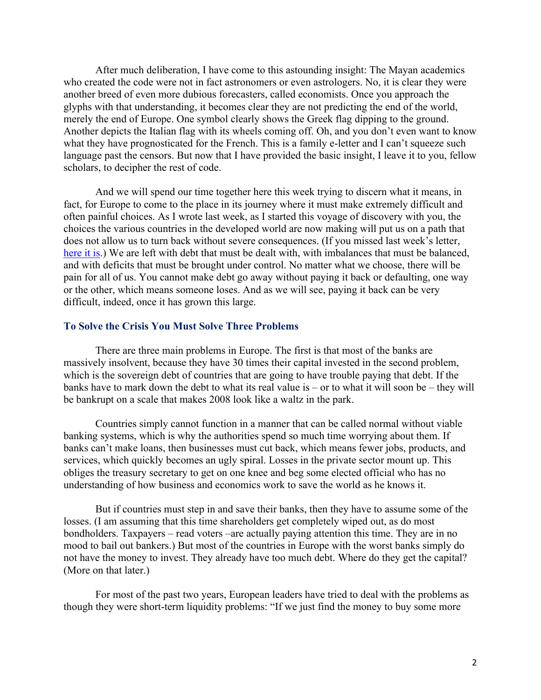After much deliberation, I have come to this astounding insight: The Mayan academics who created the code were not in fact astronomers or even astrologers. No, it is clear they were another breed of even more dubious forecasters, called economists. Once you approach the glyphs with that understanding, it becomes clear they are not predicting the end of the world, merely the end of Europe. One symbol clearly shows the Greek flag dipping to the ground. Another depicts the Italian flag with its wheels coming off. Oh, and you don't even want to know what they have prognosticated for the French. This is a family e-letter and I can't squeeze such language past the censors. But now that I have provided the basic insight, I leave it to you, fellow scholars, to decipher the rest of code.

And we will spend our time together here this week trying to discern what it means, in fact, for Europe to come to the place in its journey where it must make extremely difficult and often painful choices. As I wrote last week, as I started this voyage of discovery with you, the choices the various countries in the developed world are now making will put us on a path that does not allow us to turn back without severe consequences. (If you missed last week's letter, here it is.) We are left with debt that must be dealt with, with imbalances that must be balanced, and with deficits that must be brought under control. No matter what we choose, there will be pain for all of us. You cannot make debt go away without paying it back or defaulting, one way or the other, which means someone loses. And as we will see, paying it back can be very difficult, indeed, once it has grown this large.

## **To Solve the Crisis You Must Solve Three Problems**

There are three main problems in Europe. The first is that most of the banks are massively insolvent, because they have 30 times their capital invested in the second problem, which is the sovereign debt of countries that are going to have trouble paying that debt. If the banks have to mark down the debt to what its real value is – or to what it will soon be – they will be bankrupt on a scale that makes 2008 look like a waltz in the park.

Countries simply cannot function in a manner that can be called normal without viable banking systems, which is why the authorities spend so much time worrying about them. If banks can't make loans, then businesses must cut back, which means fewer jobs, products, and services, which quickly becomes an ugly spiral. Losses in the private sector mount up. This obliges the treasury secretary to get on one knee and beg some elected official who has no understanding of how business and economics work to save the world as he knows it.

But if countries must step in and save their banks, then they have to assume some of the losses. (I am assuming that this time shareholders get completely wiped out, as do most bondholders. Taxpayers – read voters –are actually paying attention this time. They are in no mood to bail out bankers.) But most of the countries in Europe with the worst banks simply do not have the money to invest. They already have too much debt. Where do they get the capital? (More on that later.)

For most of the past two years, European leaders have tried to deal with the problems as though they were short-term liquidity problems: "If we just find the money to buy some more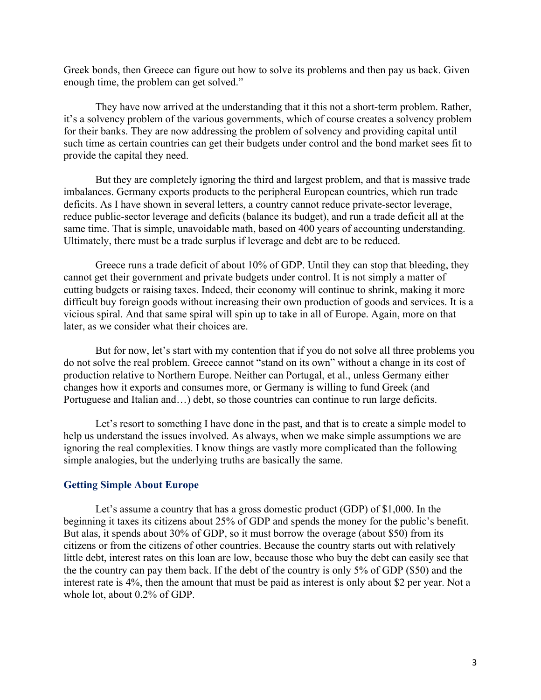Greek bonds, then Greece can figure out how to solve its problems and then pay us back. Given enough time, the problem can get solved."

They have now arrived at the understanding that it this not a short-term problem. Rather, it's a solvency problem of the various governments, which of course creates a solvency problem for their banks. They are now addressing the problem of solvency and providing capital until such time as certain countries can get their budgets under control and the bond market sees fit to provide the capital they need.

But they are completely ignoring the third and largest problem, and that is massive trade imbalances. Germany exports products to the peripheral European countries, which run trade deficits. As I have shown in several letters, a country cannot reduce private-sector leverage, reduce public-sector leverage and deficits (balance its budget), and run a trade deficit all at the same time. That is simple, unavoidable math, based on 400 years of accounting understanding. Ultimately, there must be a trade surplus if leverage and debt are to be reduced.

Greece runs a trade deficit of about 10% of GDP. Until they can stop that bleeding, they cannot get their government and private budgets under control. It is not simply a matter of cutting budgets or raising taxes. Indeed, their economy will continue to shrink, making it more difficult buy foreign goods without increasing their own production of goods and services. It is a vicious spiral. And that same spiral will spin up to take in all of Europe. Again, more on that later, as we consider what their choices are.

But for now, let's start with my contention that if you do not solve all three problems you do not solve the real problem. Greece cannot "stand on its own" without a change in its cost of production relative to Northern Europe. Neither can Portugal, et al., unless Germany either changes how it exports and consumes more, or Germany is willing to fund Greek (and Portuguese and Italian and…) debt, so those countries can continue to run large deficits.

Let's resort to something I have done in the past, and that is to create a simple model to help us understand the issues involved. As always, when we make simple assumptions we are ignoring the real complexities. I know things are vastly more complicated than the following simple analogies, but the underlying truths are basically the same.

#### **Getting Simple About Europe**

Let's assume a country that has a gross domestic product (GDP) of \$1,000. In the beginning it taxes its citizens about 25% of GDP and spends the money for the public's benefit. But alas, it spends about 30% of GDP, so it must borrow the overage (about \$50) from its citizens or from the citizens of other countries. Because the country starts out with relatively little debt, interest rates on this loan are low, because those who buy the debt can easily see that the the country can pay them back. If the debt of the country is only 5% of GDP (\$50) and the interest rate is 4%, then the amount that must be paid as interest is only about \$2 per year. Not a whole lot, about 0.2% of GDP.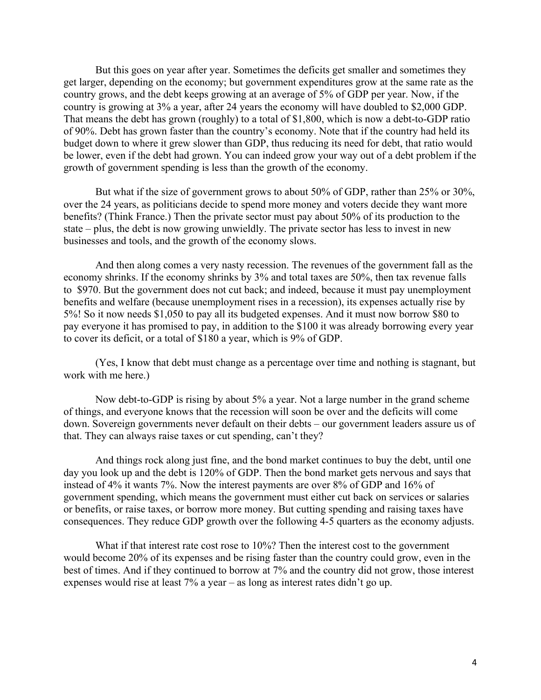But this goes on year after year. Sometimes the deficits get smaller and sometimes they get larger, depending on the economy; but government expenditures grow at the same rate as the country grows, and the debt keeps growing at an average of 5% of GDP per year. Now, if the country is growing at 3% a year, after 24 years the economy will have doubled to \$2,000 GDP. That means the debt has grown (roughly) to a total of \$1,800, which is now a debt-to-GDP ratio of 90%. Debt has grown faster than the country's economy. Note that if the country had held its budget down to where it grew slower than GDP, thus reducing its need for debt, that ratio would be lower, even if the debt had grown. You can indeed grow your way out of a debt problem if the growth of government spending is less than the growth of the economy.

But what if the size of government grows to about 50% of GDP, rather than 25% or 30%, over the 24 years, as politicians decide to spend more money and voters decide they want more benefits? (Think France.) Then the private sector must pay about 50% of its production to the state – plus, the debt is now growing unwieldly. The private sector has less to invest in new businesses and tools, and the growth of the economy slows.

And then along comes a very nasty recession. The revenues of the government fall as the economy shrinks. If the economy shrinks by 3% and total taxes are 50%, then tax revenue falls to \$970. But the government does not cut back; and indeed, because it must pay unemployment benefits and welfare (because unemployment rises in a recession), its expenses actually rise by 5%! So it now needs \$1,050 to pay all its budgeted expenses. And it must now borrow \$80 to pay everyone it has promised to pay, in addition to the \$100 it was already borrowing every year to cover its deficit, or a total of \$180 a year, which is 9% of GDP.

(Yes, I know that debt must change as a percentage over time and nothing is stagnant, but work with me here.)

Now debt-to-GDP is rising by about 5% a year. Not a large number in the grand scheme of things, and everyone knows that the recession will soon be over and the deficits will come down. Sovereign governments never default on their debts – our government leaders assure us of that. They can always raise taxes or cut spending, can't they?

And things rock along just fine, and the bond market continues to buy the debt, until one day you look up and the debt is 120% of GDP. Then the bond market gets nervous and says that instead of 4% it wants 7%. Now the interest payments are over 8% of GDP and 16% of government spending, which means the government must either cut back on services or salaries or benefits, or raise taxes, or borrow more money. But cutting spending and raising taxes have consequences. They reduce GDP growth over the following 4-5 quarters as the economy adjusts.

What if that interest rate cost rose to 10%? Then the interest cost to the government would become 20% of its expenses and be rising faster than the country could grow, even in the best of times. And if they continued to borrow at 7% and the country did not grow, those interest expenses would rise at least 7% a year – as long as interest rates didn't go up.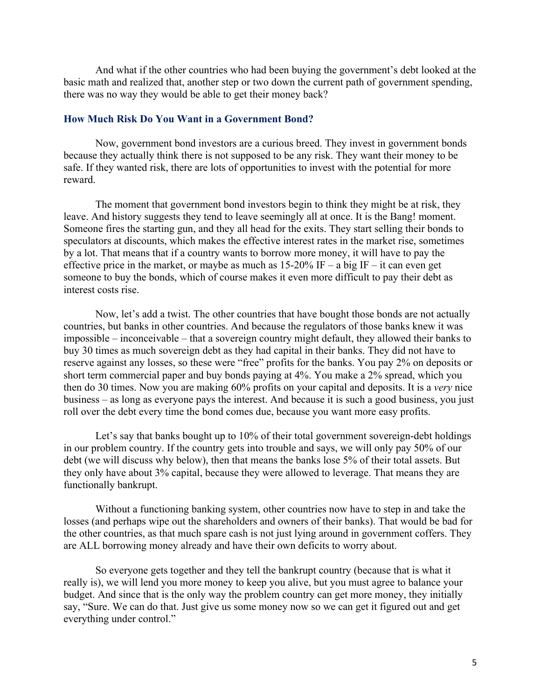And what if the other countries who had been buying the government's debt looked at the basic math and realized that, another step or two down the current path of government spending, there was no way they would be able to get their money back?

#### **How Much Risk Do You Want in a Government Bond?**

Now, government bond investors are a curious breed. They invest in government bonds because they actually think there is not supposed to be any risk. They want their money to be safe. If they wanted risk, there are lots of opportunities to invest with the potential for more reward.

The moment that government bond investors begin to think they might be at risk, they leave. And history suggests they tend to leave seemingly all at once. It is the Bang! moment. Someone fires the starting gun, and they all head for the exits. They start selling their bonds to speculators at discounts, which makes the effective interest rates in the market rise, sometimes by a lot. That means that if a country wants to borrow more money, it will have to pay the effective price in the market, or maybe as much as  $15{\text -}20\%$  IF – a big IF – it can even get someone to buy the bonds, which of course makes it even more difficult to pay their debt as interest costs rise.

Now, let's add a twist. The other countries that have bought those bonds are not actually countries, but banks in other countries. And because the regulators of those banks knew it was impossible – inconceivable – that a sovereign country might default, they allowed their banks to buy 30 times as much sovereign debt as they had capital in their banks. They did not have to reserve against any losses, so these were "free" profits for the banks. You pay 2% on deposits or short term commercial paper and buy bonds paying at 4%. You make a 2% spread, which you then do 30 times. Now you are making 60% profits on your capital and deposits. It is a *very* nice business – as long as everyone pays the interest. And because it is such a good business, you just roll over the debt every time the bond comes due, because you want more easy profits.

Let's say that banks bought up to 10% of their total government sovereign-debt holdings in our problem country. If the country gets into trouble and says, we will only pay 50% of our debt (we will discuss why below), then that means the banks lose 5% of their total assets. But they only have about 3% capital, because they were allowed to leverage. That means they are functionally bankrupt.

Without a functioning banking system, other countries now have to step in and take the losses (and perhaps wipe out the shareholders and owners of their banks). That would be bad for the other countries, as that much spare cash is not just lying around in government coffers. They are ALL borrowing money already and have their own deficits to worry about.

So everyone gets together and they tell the bankrupt country (because that is what it really is), we will lend you more money to keep you alive, but you must agree to balance your budget. And since that is the only way the problem country can get more money, they initially say, "Sure. We can do that. Just give us some money now so we can get it figured out and get everything under control."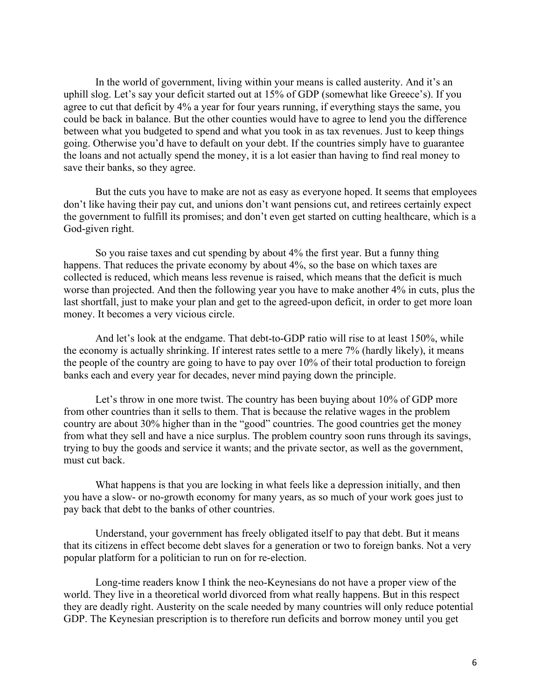In the world of government, living within your means is called austerity. And it's an uphill slog. Let's say your deficit started out at 15% of GDP (somewhat like Greece's). If you agree to cut that deficit by 4% a year for four years running, if everything stays the same, you could be back in balance. But the other counties would have to agree to lend you the difference between what you budgeted to spend and what you took in as tax revenues. Just to keep things going. Otherwise you'd have to default on your debt. If the countries simply have to guarantee the loans and not actually spend the money, it is a lot easier than having to find real money to save their banks, so they agree.

But the cuts you have to make are not as easy as everyone hoped. It seems that employees don't like having their pay cut, and unions don't want pensions cut, and retirees certainly expect the government to fulfill its promises; and don't even get started on cutting healthcare, which is a God-given right.

So you raise taxes and cut spending by about 4% the first year. But a funny thing happens. That reduces the private economy by about 4%, so the base on which taxes are collected is reduced, which means less revenue is raised, which means that the deficit is much worse than projected. And then the following year you have to make another 4% in cuts, plus the last shortfall, just to make your plan and get to the agreed-upon deficit, in order to get more loan money. It becomes a very vicious circle.

And let's look at the endgame. That debt-to-GDP ratio will rise to at least 150%, while the economy is actually shrinking. If interest rates settle to a mere 7% (hardly likely), it means the people of the country are going to have to pay over 10% of their total production to foreign banks each and every year for decades, never mind paying down the principle.

Let's throw in one more twist. The country has been buying about 10% of GDP more from other countries than it sells to them. That is because the relative wages in the problem country are about 30% higher than in the "good" countries. The good countries get the money from what they sell and have a nice surplus. The problem country soon runs through its savings, trying to buy the goods and service it wants; and the private sector, as well as the government, must cut back.

What happens is that you are locking in what feels like a depression initially, and then you have a slow- or no-growth economy for many years, as so much of your work goes just to pay back that debt to the banks of other countries.

Understand, your government has freely obligated itself to pay that debt. But it means that its citizens in effect become debt slaves for a generation or two to foreign banks. Not a very popular platform for a politician to run on for re-election.

Long-time readers know I think the neo-Keynesians do not have a proper view of the world. They live in a theoretical world divorced from what really happens. But in this respect they are deadly right. Austerity on the scale needed by many countries will only reduce potential GDP. The Keynesian prescription is to therefore run deficits and borrow money until you get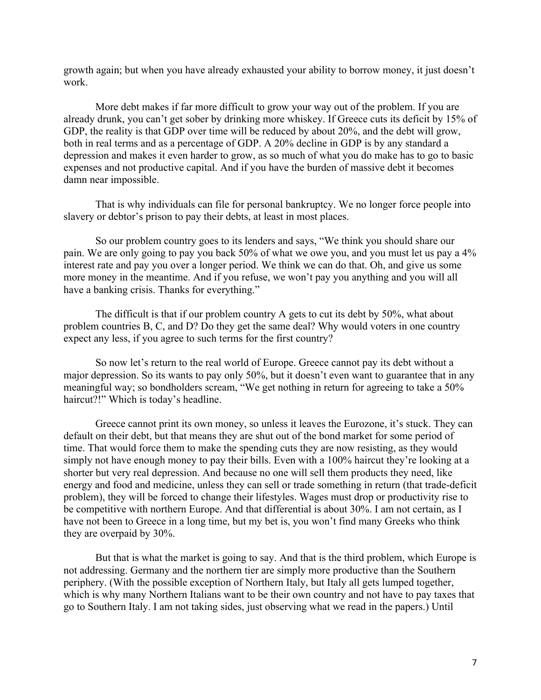growth again; but when you have already exhausted your ability to borrow money, it just doesn't work.

More debt makes if far more difficult to grow your way out of the problem. If you are already drunk, you can't get sober by drinking more whiskey. If Greece cuts its deficit by 15% of GDP, the reality is that GDP over time will be reduced by about 20%, and the debt will grow, both in real terms and as a percentage of GDP. A 20% decline in GDP is by any standard a depression and makes it even harder to grow, as so much of what you do make has to go to basic expenses and not productive capital. And if you have the burden of massive debt it becomes damn near impossible.

That is why individuals can file for personal bankruptcy. We no longer force people into slavery or debtor's prison to pay their debts, at least in most places.

So our problem country goes to its lenders and says, "We think you should share our pain. We are only going to pay you back 50% of what we owe you, and you must let us pay a 4% interest rate and pay you over a longer period. We think we can do that. Oh, and give us some more money in the meantime. And if you refuse, we won't pay you anything and you will all have a banking crisis. Thanks for everything."

The difficult is that if our problem country A gets to cut its debt by 50%, what about problem countries B, C, and D? Do they get the same deal? Why would voters in one country expect any less, if you agree to such terms for the first country?

So now let's return to the real world of Europe. Greece cannot pay its debt without a major depression. So its wants to pay only 50%, but it doesn't even want to guarantee that in any meaningful way; so bondholders scream, "We get nothing in return for agreeing to take a 50% haircut?!" Which is today's headline.

Greece cannot print its own money, so unless it leaves the Eurozone, it's stuck. They can default on their debt, but that means they are shut out of the bond market for some period of time. That would force them to make the spending cuts they are now resisting, as they would simply not have enough money to pay their bills. Even with a 100% haircut they're looking at a shorter but very real depression. And because no one will sell them products they need, like energy and food and medicine, unless they can sell or trade something in return (that trade-deficit problem), they will be forced to change their lifestyles. Wages must drop or productivity rise to be competitive with northern Europe. And that differential is about 30%. I am not certain, as I have not been to Greece in a long time, but my bet is, you won't find many Greeks who think they are overpaid by 30%.

But that is what the market is going to say. And that is the third problem, which Europe is not addressing. Germany and the northern tier are simply more productive than the Southern periphery. (With the possible exception of Northern Italy, but Italy all gets lumped together, which is why many Northern Italians want to be their own country and not have to pay taxes that go to Southern Italy. I am not taking sides, just observing what we read in the papers.) Until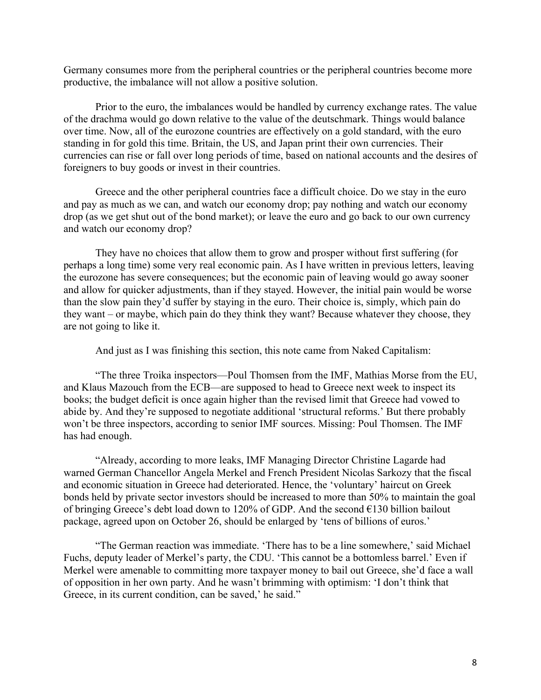Germany consumes more from the peripheral countries or the peripheral countries become more productive, the imbalance will not allow a positive solution.

Prior to the euro, the imbalances would be handled by currency exchange rates. The value of the drachma would go down relative to the value of the deutschmark. Things would balance over time. Now, all of the eurozone countries are effectively on a gold standard, with the euro standing in for gold this time. Britain, the US, and Japan print their own currencies. Their currencies can rise or fall over long periods of time, based on national accounts and the desires of foreigners to buy goods or invest in their countries.

Greece and the other peripheral countries face a difficult choice. Do we stay in the euro and pay as much as we can, and watch our economy drop; pay nothing and watch our economy drop (as we get shut out of the bond market); or leave the euro and go back to our own currency and watch our economy drop?

They have no choices that allow them to grow and prosper without first suffering (for perhaps a long time) some very real economic pain. As I have written in previous letters, leaving the eurozone has severe consequences; but the economic pain of leaving would go away sooner and allow for quicker adjustments, than if they stayed. However, the initial pain would be worse than the slow pain they'd suffer by staying in the euro. Their choice is, simply, which pain do they want – or maybe, which pain do they think they want? Because whatever they choose, they are not going to like it.

And just as I was finishing this section, this note came from Naked Capitalism:

"The three Troika inspectors—Poul Thomsen from the IMF, Mathias Morse from the EU, and Klaus Mazouch from the ECB—are supposed to head to Greece next week to inspect its books; the budget deficit is once again higher than the revised limit that Greece had vowed to abide by. And they're supposed to negotiate additional 'structural reforms.' But there probably won't be three inspectors, according to senior IMF sources. Missing: Poul Thomsen. The IMF has had enough.

"Already, according to more leaks, IMF Managing Director Christine Lagarde had warned German Chancellor Angela Merkel and French President Nicolas Sarkozy that the fiscal and economic situation in Greece had deteriorated. Hence, the 'voluntary' haircut on Greek bonds held by private sector investors should be increased to more than 50% to maintain the goal of bringing Greece's debt load down to 120% of GDP. And the second €130 billion bailout package, agreed upon on October 26, should be enlarged by 'tens of billions of euros.'

"The German reaction was immediate. 'There has to be a line somewhere,' said Michael Fuchs, deputy leader of Merkel's party, the CDU. 'This cannot be a bottomless barrel.' Even if Merkel were amenable to committing more taxpayer money to bail out Greece, she'd face a wall of opposition in her own party. And he wasn't brimming with optimism: 'I don't think that Greece, in its current condition, can be saved,' he said."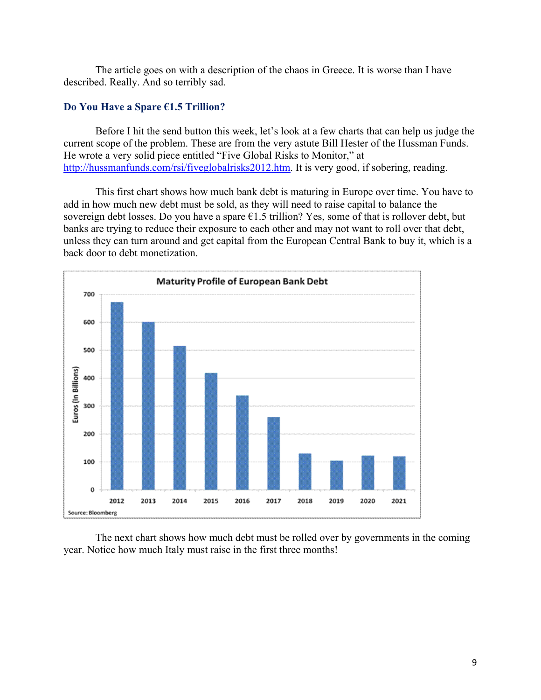The article goes on with a description of the chaos in Greece. It is worse than I have described. Really. And so terribly sad.

# **Do You Have a Spare €1.5 Trillion?**

Before I hit the send button this week, let's look at a few charts that can help us judge the current scope of the problem. These are from the very astute Bill Hester of the Hussman Funds. He wrote a very solid piece entitled "Five Global Risks to Monitor," at http://hussmanfunds.com/rsi/fiveglobalrisks2012.htm. It is very good, if sobering, reading.

This first chart shows how much bank debt is maturing in Europe over time. You have to add in how much new debt must be sold, as they will need to raise capital to balance the sovereign debt losses. Do you have a spare  $\epsilon$ 1.5 trillion? Yes, some of that is rollover debt, but banks are trying to reduce their exposure to each other and may not want to roll over that debt, unless they can turn around and get capital from the European Central Bank to buy it, which is a back door to debt monetization.



The next chart shows how much debt must be rolled over by governments in the coming year. Notice how much Italy must raise in the first three months!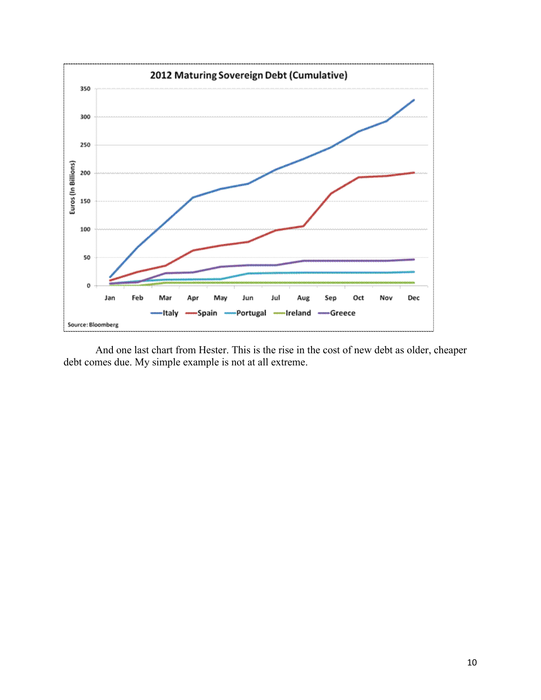

And one last chart from Hester. This is the rise in the cost of new debt as older, cheaper debt comes due. My simple example is not at all extreme.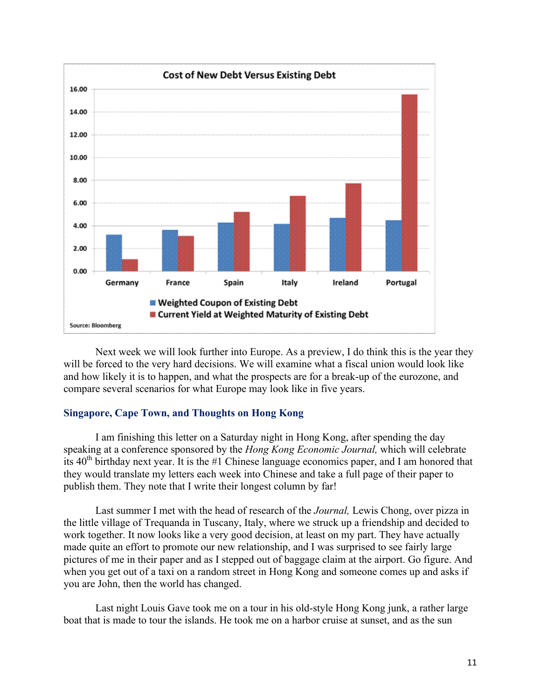

Next week we will look further into Europe. As a preview, I do think this is the year they will be forced to the very hard decisions. We will examine what a fiscal union would look like and how likely it is to happen, and what the prospects are for a break-up of the eurozone, and compare several scenarios for what Europe may look like in five years.

## **Singapore, Cape Town, and Thoughts on Hong Kong**

I am finishing this letter on a Saturday night in Hong Kong, after spending the day speaking at a conference sponsored by the *Hong Kong Economic Journal,* which will celebrate its  $40<sup>th</sup>$  birthday next year. It is the #1 Chinese language economics paper, and I am honored that they would translate my letters each week into Chinese and take a full page of their paper to publish them. They note that I write their longest column by far!

Last summer I met with the head of research of the *Journal,* Lewis Chong, over pizza in the little village of Trequanda in Tuscany, Italy, where we struck up a friendship and decided to work together. It now looks like a very good decision, at least on my part. They have actually made quite an effort to promote our new relationship, and I was surprised to see fairly large pictures of me in their paper and as I stepped out of baggage claim at the airport. Go figure. And when you get out of a taxi on a random street in Hong Kong and someone comes up and asks if you are John, then the world has changed.

Last night Louis Gave took me on a tour in his old-style Hong Kong junk, a rather large boat that is made to tour the islands. He took me on a harbor cruise at sunset, and as the sun